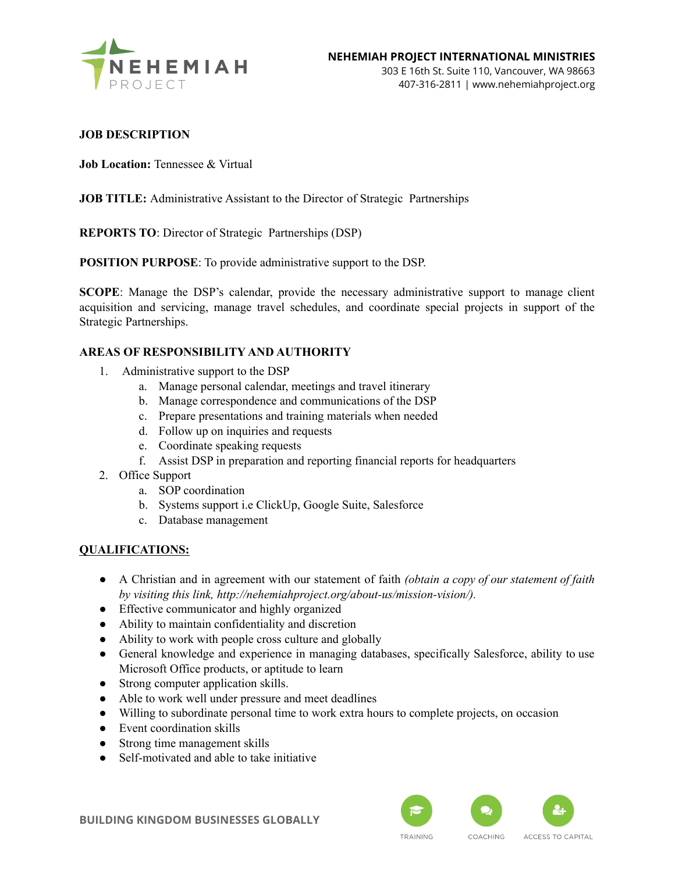

# **JOB DESCRIPTION**

**Job Location:** Tennessee & Virtual

# **JOB TITLE:** Administrative Assistant to the Director of Strategic Partnerships

**REPORTS TO**: Director of Strategic Partnerships (DSP)

**POSITION PURPOSE**: To provide administrative support to the DSP.

**SCOPE**: Manage the DSP's calendar, provide the necessary administrative support to manage client acquisition and servicing, manage travel schedules, and coordinate special projects in support of the Strategic Partnerships.

# **AREAS OF RESPONSIBILITY AND AUTHORITY**

- 1. Administrative support to the DSP
	- a. Manage personal calendar, meetings and travel itinerary
	- b. Manage correspondence and communications of the DSP
	- c. Prepare presentations and training materials when needed
	- d. Follow up on inquiries and requests
	- e. Coordinate speaking requests
	- f. Assist DSP in preparation and reporting financial reports for headquarters
- 2. Office Support
	- a. SOP coordination
	- b. Systems support i.e ClickUp, Google Suite, Salesforce
	- c. Database management

#### **QUALIFICATIONS:**

- A Christian and in agreement with our statement of faith *(obtain a copy of our statement of faith by visiting this link, http://nehemiahproject.org/about-us/mission-vision/).*
- Effective communicator and highly organized
- Ability to maintain confidentiality and discretion
- Ability to work with people cross culture and globally
- General knowledge and experience in managing databases, specifically Salesforce, ability to use Microsoft Office products, or aptitude to learn
- Strong computer application skills.
- Able to work well under pressure and meet deadlines
- Willing to subordinate personal time to work extra hours to complete projects, on occasion
- Event coordination skills
- Strong time management skills
- Self-motivated and able to take initiative



**BUILDING KINGDOM BUSINESSES GLOBALLY**